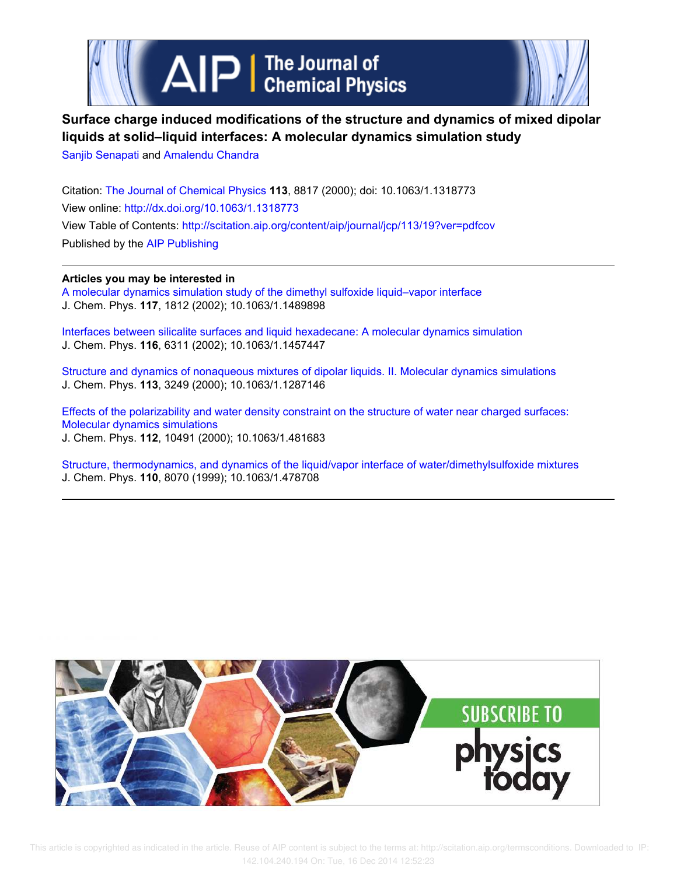

# **Surface charge induced modifications of the structure and dynamics of mixed dipolar liquids at solid–liquid interfaces: A molecular dynamics simulation study**

Sanjib Senapati and Amalendu Chandra

Citation: The Journal of Chemical Physics **113**, 8817 (2000); doi: 10.1063/1.1318773 View online: http://dx.doi.org/10.1063/1.1318773 View Table of Contents: http://scitation.aip.org/content/aip/journal/jcp/113/19?ver=pdfcov Published by the AIP Publishing

**Articles you may be interested in**

A molecular dynamics simulation study of the dimethyl sulfoxide liquid–vapor interface J. Chem. Phys. **117**, 1812 (2002); 10.1063/1.1489898

Interfaces between silicalite surfaces and liquid hexadecane: A molecular dynamics simulation J. Chem. Phys. **116**, 6311 (2002); 10.1063/1.1457447

Structure and dynamics of nonaqueous mixtures of dipolar liquids. II. Molecular dynamics simulations J. Chem. Phys. **113**, 3249 (2000); 10.1063/1.1287146

Effects of the polarizability and water density constraint on the structure of water near charged surfaces: Molecular dynamics simulations J. Chem. Phys. **112**, 10491 (2000); 10.1063/1.481683

Structure, thermodynamics, and dynamics of the liquid/vapor interface of water/dimethylsulfoxide mixtures J. Chem. Phys. **110**, 8070 (1999); 10.1063/1.478708

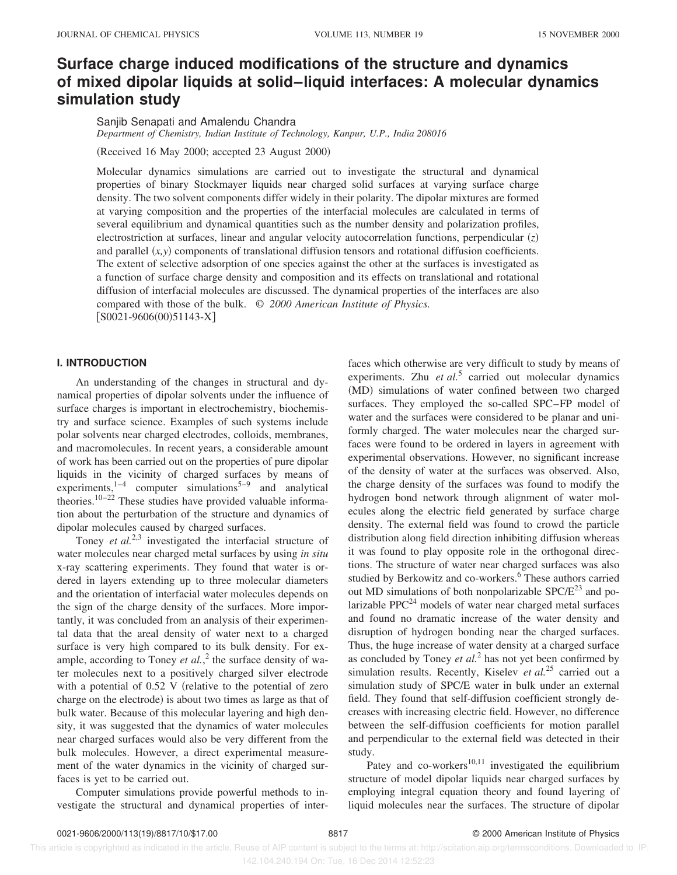## **Surface charge induced modifications of the structure and dynamics of mixed dipolar liquids at solid–liquid interfaces: A molecular dynamics simulation study**

Sanjib Senapati and Amalendu Chandra *Department of Chemistry, Indian Institute of Technology, Kanpur, U.P., India 208016*

 $(Received 16 May 2000; accepted 23 August 2000)$ 

Molecular dynamics simulations are carried out to investigate the structural and dynamical properties of binary Stockmayer liquids near charged solid surfaces at varying surface charge density. The two solvent components differ widely in their polarity. The dipolar mixtures are formed at varying composition and the properties of the interfacial molecules are calculated in terms of several equilibrium and dynamical quantities such as the number density and polarization profiles, electrostriction at surfaces, linear and angular velocity autocorrelation functions, perpendicular (*z*) and parallel  $(x, y)$  components of translational diffusion tensors and rotational diffusion coefficients. The extent of selective adsorption of one species against the other at the surfaces is investigated as a function of surface charge density and composition and its effects on translational and rotational diffusion of interfacial molecules are discussed. The dynamical properties of the interfaces are also compared with those of the bulk. © *2000 American Institute of Physics.*  $[SO021-9606(00)51143-X]$ 

### **I. INTRODUCTION**

An understanding of the changes in structural and dynamical properties of dipolar solvents under the influence of surface charges is important in electrochemistry, biochemistry and surface science. Examples of such systems include polar solvents near charged electrodes, colloids, membranes, and macromolecules. In recent years, a considerable amount of work has been carried out on the properties of pure dipolar liquids in the vicinity of charged surfaces by means of experiments,<sup>1–4</sup> computer simulations<sup>5–9</sup> and analytical theories.10–22 These studies have provided valuable information about the perturbation of the structure and dynamics of dipolar molecules caused by charged surfaces.

Toney *et al.*<sup>2,3</sup> investigated the interfacial structure of water molecules near charged metal surfaces by using *in situ* x-ray scattering experiments. They found that water is ordered in layers extending up to three molecular diameters and the orientation of interfacial water molecules depends on the sign of the charge density of the surfaces. More importantly, it was concluded from an analysis of their experimental data that the areal density of water next to a charged surface is very high compared to its bulk density. For example, according to Toney *et al.*,<sup>2</sup> the surface density of water molecules next to a positively charged silver electrode with a potential of  $0.52$  V (relative to the potential of zero charge on the electrode) is about two times as large as that of bulk water. Because of this molecular layering and high density, it was suggested that the dynamics of water molecules near charged surfaces would also be very different from the bulk molecules. However, a direct experimental measurement of the water dynamics in the vicinity of charged surfaces is yet to be carried out.

Computer simulations provide powerful methods to investigate the structural and dynamical properties of interfaces which otherwise are very difficult to study by means of experiments. Zhu et al.<sup>5</sup> carried out molecular dynamics (MD) simulations of water confined between two charged surfaces. They employed the so-called SPC–FP model of water and the surfaces were considered to be planar and uniformly charged. The water molecules near the charged surfaces were found to be ordered in layers in agreement with experimental observations. However, no significant increase of the density of water at the surfaces was observed. Also, the charge density of the surfaces was found to modify the hydrogen bond network through alignment of water molecules along the electric field generated by surface charge density. The external field was found to crowd the particle distribution along field direction inhibiting diffusion whereas it was found to play opposite role in the orthogonal directions. The structure of water near charged surfaces was also studied by Berkowitz and co-workers.<sup>6</sup> These authors carried out MD simulations of both nonpolarizable  $SPC/E^{23}$  and polarizable  $PPC^{24}$  models of water near charged metal surfaces and found no dramatic increase of the water density and disruption of hydrogen bonding near the charged surfaces. Thus, the huge increase of water density at a charged surface as concluded by Toney *et al.*<sup>2</sup> has not yet been confirmed by simulation results. Recently, Kiselev *et al.*<sup>25</sup> carried out a simulation study of SPC/E water in bulk under an external field. They found that self-diffusion coefficient strongly decreases with increasing electric field. However, no difference between the self-diffusion coefficients for motion parallel and perpendicular to the external field was detected in their study.

Patey and co-workers $10,11$  investigated the equilibrium structure of model dipolar liquids near charged surfaces by employing integral equation theory and found layering of liquid molecules near the surfaces. The structure of dipolar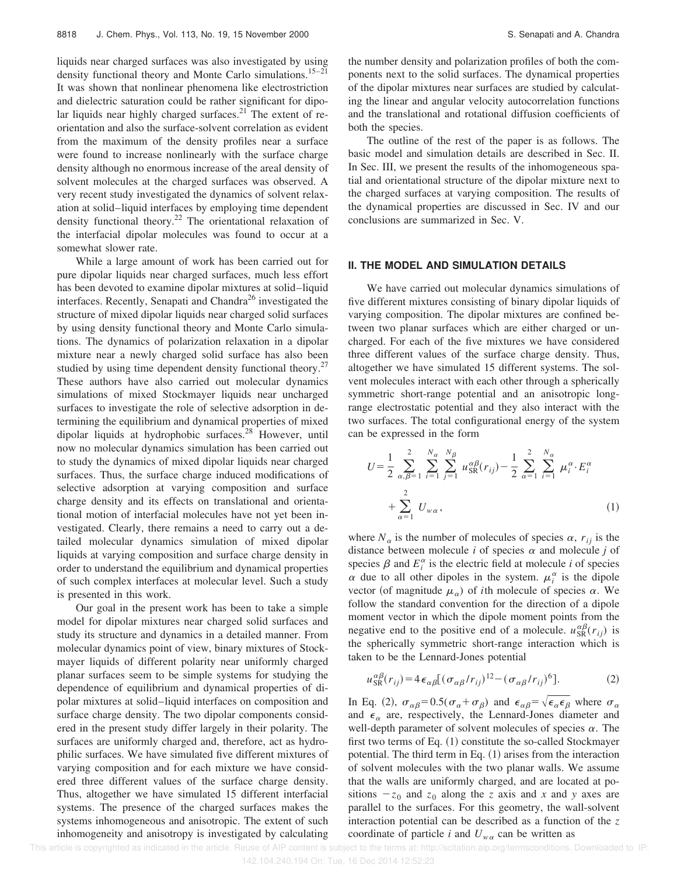liquids near charged surfaces was also investigated by using density functional theory and Monte Carlo simulations.<sup>15–21</sup> It was shown that nonlinear phenomena like electrostriction and dielectric saturation could be rather significant for dipolar liquids near highly charged surfaces.<sup>21</sup> The extent of reorientation and also the surface-solvent correlation as evident from the maximum of the density profiles near a surface were found to increase nonlinearly with the surface charge density although no enormous increase of the areal density of solvent molecules at the charged surfaces was observed. A very recent study investigated the dynamics of solvent relaxation at solid–liquid interfaces by employing time dependent density functional theory.<sup>22</sup> The orientational relaxation of the interfacial dipolar molecules was found to occur at a somewhat slower rate.

While a large amount of work has been carried out for pure dipolar liquids near charged surfaces, much less effort has been devoted to examine dipolar mixtures at solid–liquid interfaces. Recently, Senapati and Chandra<sup>26</sup> investigated the structure of mixed dipolar liquids near charged solid surfaces by using density functional theory and Monte Carlo simulations. The dynamics of polarization relaxation in a dipolar mixture near a newly charged solid surface has also been studied by using time dependent density functional theory.<sup>27</sup> These authors have also carried out molecular dynamics simulations of mixed Stockmayer liquids near uncharged surfaces to investigate the role of selective adsorption in determining the equilibrium and dynamical properties of mixed dipolar liquids at hydrophobic surfaces.<sup>28</sup> However, until now no molecular dynamics simulation has been carried out to study the dynamics of mixed dipolar liquids near charged surfaces. Thus, the surface charge induced modifications of selective adsorption at varying composition and surface charge density and its effects on translational and orientational motion of interfacial molecules have not yet been investigated. Clearly, there remains a need to carry out a detailed molecular dynamics simulation of mixed dipolar liquids at varying composition and surface charge density in order to understand the equilibrium and dynamical properties of such complex interfaces at molecular level. Such a study is presented in this work.

Our goal in the present work has been to take a simple model for dipolar mixtures near charged solid surfaces and study its structure and dynamics in a detailed manner. From molecular dynamics point of view, binary mixtures of Stockmayer liquids of different polarity near uniformly charged planar surfaces seem to be simple systems for studying the dependence of equilibrium and dynamical properties of dipolar mixtures at solid–liquid interfaces on composition and surface charge density. The two dipolar components considered in the present study differ largely in their polarity. The surfaces are uniformly charged and, therefore, act as hydrophilic surfaces. We have simulated five different mixtures of varying composition and for each mixture we have considered three different values of the surface charge density. Thus, altogether we have simulated 15 different interfacial systems. The presence of the charged surfaces makes the systems inhomogeneous and anisotropic. The extent of such inhomogeneity and anisotropy is investigated by calculating the number density and polarization profiles of both the components next to the solid surfaces. The dynamical properties of the dipolar mixtures near surfaces are studied by calculating the linear and angular velocity autocorrelation functions and the translational and rotational diffusion coefficients of both the species.

The outline of the rest of the paper is as follows. The basic model and simulation details are described in Sec. II. In Sec. III, we present the results of the inhomogeneous spatial and orientational structure of the dipolar mixture next to the charged surfaces at varying composition. The results of the dynamical properties are discussed in Sec. IV and our conclusions are summarized in Sec. V.

#### **II. THE MODEL AND SIMULATION DETAILS**

We have carried out molecular dynamics simulations of five different mixtures consisting of binary dipolar liquids of varying composition. The dipolar mixtures are confined between two planar surfaces which are either charged or uncharged. For each of the five mixtures we have considered three different values of the surface charge density. Thus, altogether we have simulated 15 different systems. The solvent molecules interact with each other through a spherically symmetric short-range potential and an anisotropic longrange electrostatic potential and they also interact with the two surfaces. The total configurational energy of the system can be expressed in the form

$$
U = \frac{1}{2} \sum_{\alpha,\beta=1}^{2} \sum_{i=1}^{N_{\alpha}} \sum_{j=1}^{N_{\beta}} u_{SR}^{\alpha\beta}(r_{ij}) - \frac{1}{2} \sum_{\alpha=1}^{2} \sum_{i=1}^{N_{\alpha}} \mu_{i}^{\alpha} \cdot E_{i}^{\alpha} + \sum_{\alpha=1}^{2} U_{w\alpha},
$$
\n(1)

where  $N_{\alpha}$  is the number of molecules of species  $\alpha$ ,  $r_{ij}$  is the distance between molecule *i* of species  $\alpha$  and molecule *j* of species  $\beta$  and  $E_i^{\alpha}$  is the electric field at molecule *i* of species  $\alpha$  due to all other dipoles in the system.  $\mu_i^{\alpha}$  is the dipole vector (of magnitude  $\mu_{\alpha}$ ) of *i*th molecule of species  $\alpha$ . We follow the standard convention for the direction of a dipole moment vector in which the dipole moment points from the negative end to the positive end of a molecule.  $u_{SR}^{\alpha\beta}(r_{ij})$  is the spherically symmetric short-range interaction which is taken to be the Lennard-Jones potential

$$
u_{\rm SR}^{\alpha\beta}(r_{ij}) = 4\,\epsilon_{\alpha\beta}[(\sigma_{\alpha\beta}/r_{ij})^{12} - (\sigma_{\alpha\beta}/r_{ij})^6].\tag{2}
$$

In Eq. (2),  $\sigma_{\alpha\beta} = 0.5(\sigma_{\alpha} + \sigma_{\beta})$  and  $\epsilon_{\alpha\beta} = \sqrt{\epsilon_{\alpha} \epsilon_{\beta}}$  where  $\sigma_{\alpha}$ and  $\epsilon_{\alpha}$  are, respectively, the Lennard-Jones diameter and well-depth parameter of solvent molecules of species  $\alpha$ . The first two terms of Eq.  $(1)$  constitute the so-called Stockmayer potential. The third term in Eq.  $(1)$  arises from the interaction of solvent molecules with the two planar walls. We assume that the walls are uniformly charged, and are located at positions  $-z_0$  and  $z_0$  along the *z* axis and *x* and *y* axes are parallel to the surfaces. For this geometry, the wall-solvent interaction potential can be described as a function of the *z* coordinate of particle *i* and  $U_{w\alpha}$  can be written as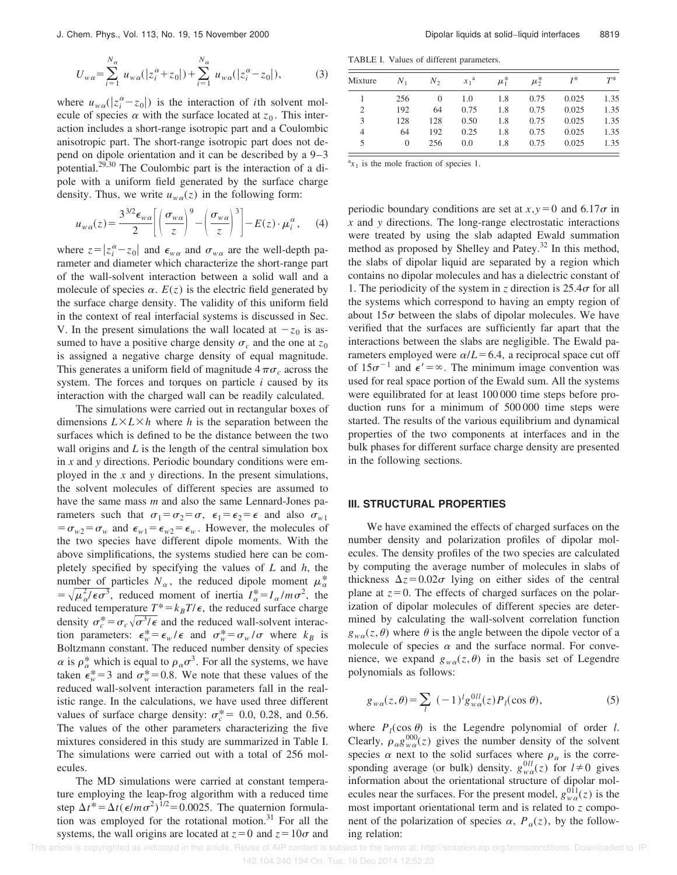$$
U_{w\alpha} = \sum_{i=1}^{N_{\alpha}} u_{w\alpha}(|z_i^{\alpha} + z_0|) + \sum_{i=1}^{N_{\alpha}} u_{w\alpha}(|z_i^{\alpha} - z_0|),
$$
 (3)

where  $u_{wa}(|z_i^{\alpha}-z_0|)$  is the interaction of *i*th solvent molecule of species  $\alpha$  with the surface located at  $z_0$ . This interaction includes a short-range isotropic part and a Coulombic anisotropic part. The short-range isotropic part does not depend on dipole orientation and it can be described by a 9–3 potential.29,30 The Coulombic part is the interaction of a dipole with a uniform field generated by the surface charge density. Thus, we write  $u_{w\alpha}(z)$  in the following form:

$$
u_{w\alpha}(z) = \frac{3^{3/2} \epsilon_{w\alpha}}{2} \left[ \left( \frac{\sigma_{w\alpha}}{z} \right)^9 - \left( \frac{\sigma_{w\alpha}}{z} \right)^3 \right] - E(z) \cdot \mu_i^{\alpha}, \quad (4)
$$

where  $z = |z_i^{\alpha} - z_0|$  and  $\epsilon_{w\alpha}$  and  $\sigma_{w\alpha}$  are the well-depth parameter and diameter which characterize the short-range part of the wall-solvent interaction between a solid wall and a molecule of species  $\alpha$ .  $E(z)$  is the electric field generated by the surface charge density. The validity of this uniform field in the context of real interfacial systems is discussed in Sec. V. In the present simulations the wall located at  $-z_0$  is assumed to have a positive charge density  $\sigma_c$  and the one at  $z_0$ is assigned a negative charge density of equal magnitude. This generates a uniform field of magnitude  $4\pi\sigma_c$  across the system. The forces and torques on particle *i* caused by its interaction with the charged wall can be readily calculated.

The simulations were carried out in rectangular boxes of dimensions  $L \times L \times h$  where *h* is the separation between the surfaces which is defined to be the distance between the two wall origins and *L* is the length of the central simulation box in *x* and *y* directions. Periodic boundary conditions were employed in the *x* and *y* directions. In the present simulations, the solvent molecules of different species are assumed to have the same mass *m* and also the same Lennard-Jones parameters such that  $\sigma_1 = \sigma_2 = \sigma$ ,  $\epsilon_1 = \epsilon_2 = \epsilon$  and also  $\sigma_{w1}$  $= \sigma_{w2} = \sigma_w$  and  $\epsilon_{w1} = \epsilon_{w2} = \epsilon_w$ . However, the molecules of the two species have different dipole moments. With the above simplifications, the systems studied here can be completely specified by specifying the values of *L* and *h*, the number of particles  $N_{\alpha}$ , the reduced dipole moment  $\mu_{\alpha}^*$  $=\sqrt{\mu_{\alpha}^2/\epsilon\sigma^3}$ , reduced moment of inertia  $I_{\alpha}^* = I_{\alpha}/m\sigma^2$ , the reduced temperature  $T^* = k_B T / \epsilon$ , the reduced surface charge density  $\sigma_c^* = \sigma_c \sqrt{\sigma^3/\epsilon}$  and the reduced wall-solvent interaction parameters:  $\epsilon_w^* = \epsilon_w / \epsilon$  and  $\sigma_w^* = \sigma_w / \sigma$  where  $k_B$  is Boltzmann constant. The reduced number density of species  $\alpha$  is  $\rho_{\alpha}^*$  which is equal to  $\rho_{\alpha}\sigma^3$ . For all the systems, we have taken  $\epsilon_w^* = 3$  and  $\sigma_w^* = 0.8$ . We note that these values of the reduced wall-solvent interaction parameters fall in the realistic range. In the calculations, we have used three different values of surface charge density:  $\sigma_c^* = 0.0, 0.28,$  and 0.56. The values of the other parameters characterizing the five mixtures considered in this study are summarized in Table I. The simulations were carried out with a total of 256 molecules.

The MD simulations were carried at constant temperature employing the leap-frog algorithm with a reduced time step  $\Delta t^* = \Delta t (\epsilon/m\sigma^2)^{1/2} = 0.0025$ . The quaternion formulation was employed for the rotational motion. $31$  For all the systems, the wall origins are located at  $z=0$  and  $z=10\sigma$  and

TABLE I. Values of different parameters.

| Mixture        | $N_{1}$  | $N_{2}$  | $x_1^a$ | $\mu_1^*$ | $\mu^*$ | $I^*$ | $T^*$ |
|----------------|----------|----------|---------|-----------|---------|-------|-------|
|                | 256      | $\Omega$ | 1.0     | 1.8       | 0.75    | 0.025 | 1.35  |
| 2              | 192      | 64       | 0.75    | 1.8       | 0.75    | 0.025 | 1.35  |
| 3              | 128      | 128      | 0.50    | 1.8       | 0.75    | 0.025 | 1.35  |
| $\overline{4}$ | 64       | 192      | 0.25    | 1.8       | 0.75    | 0.025 | 1.35  |
| 5              | $\theta$ | 256      | 0.0     | 1.8       | 0.75    | 0.025 | 1.35  |

 $x_1$  is the mole fraction of species 1.

periodic boundary conditions are set at  $x, y = 0$  and 6.17 $\sigma$  in *x* and *y* directions. The long-range electrostatic interactions were treated by using the slab adapted Ewald summation method as proposed by Shelley and Patey.<sup>32</sup> In this method, the slabs of dipolar liquid are separated by a region which contains no dipolar molecules and has a dielectric constant of 1. The periodicity of the system in *z* direction is  $25.4\sigma$  for all the systems which correspond to having an empty region of about  $15\sigma$  between the slabs of dipolar molecules. We have verified that the surfaces are sufficiently far apart that the interactions between the slabs are negligible. The Ewald parameters employed were  $\alpha/L = 6.4$ , a reciprocal space cut off of  $15\sigma^{-1}$  and  $\epsilon' = \infty$ . The minimum image convention was used for real space portion of the Ewald sum. All the systems were equilibrated for at least 100 000 time steps before production runs for a minimum of 500 000 time steps were started. The results of the various equilibrium and dynamical properties of the two components at interfaces and in the bulk phases for different surface charge density are presented in the following sections.

#### **III. STRUCTURAL PROPERTIES**

We have examined the effects of charged surfaces on the number density and polarization profiles of dipolar molecules. The density profiles of the two species are calculated by computing the average number of molecules in slabs of thickness  $\Delta z = 0.02\sigma$  lying on either sides of the central plane at  $z=0$ . The effects of charged surfaces on the polarization of dipolar molecules of different species are determined by calculating the wall-solvent correlation function  $g_{w\alpha}(z,\theta)$  where  $\theta$  is the angle between the dipole vector of a molecule of species  $\alpha$  and the surface normal. For convenience, we expand  $g_{w\alpha}(z,\theta)$  in the basis set of Legendre polynomials as follows:

$$
g_{w\alpha}(z,\theta) = \sum_{l} (-1)^{l} g_{w\alpha}^{0ll}(z) P_{l}(\cos\theta), \qquad (5)
$$

where  $P_l(\cos \theta)$  is the Legendre polynomial of order *l*. Clearly,  $\rho_{\alpha} g_{w\alpha}^{000}(z)$  gives the number density of the solvent species  $\alpha$  next to the solid surfaces where  $\rho_{\alpha}$  is the corresponding average (or bulk) density.  $g_{w\alpha}^{0ll}(z)$  for  $l \neq 0$  gives information about the orientational structure of dipolar molecules near the surfaces. For the present model,  $g_{wa}^{011}(z)$  is the most important orientational term and is related to *z* component of the polarization of species  $\alpha$ ,  $P_{\alpha}(z)$ , by the following relation: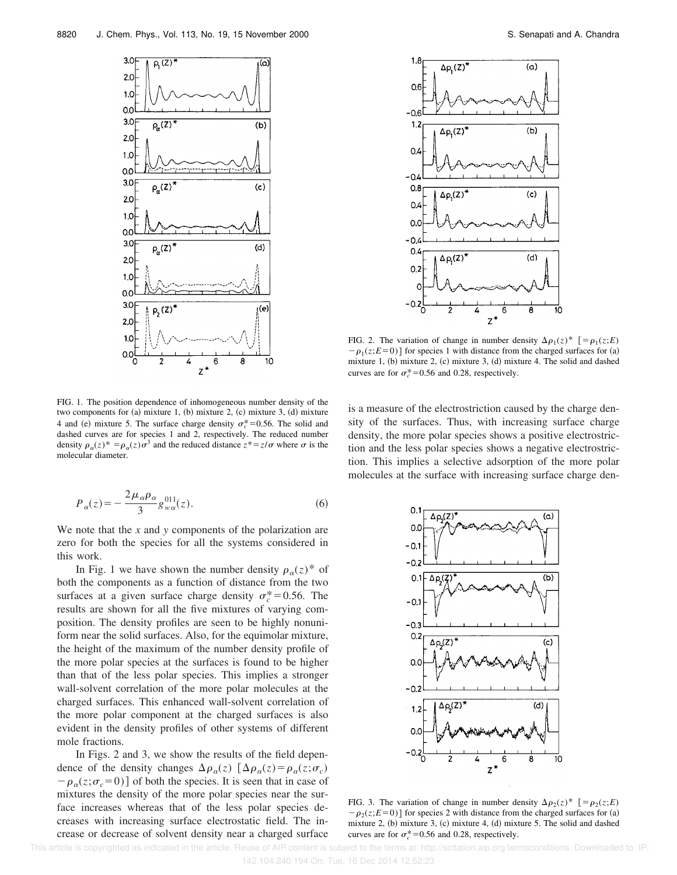

FIG. 1. The position dependence of inhomogeneous number density of the two components for  $(a)$  mixture 1,  $(b)$  mixture 2,  $(c)$  mixture 3,  $(d)$  mixture 4 and (e) mixture 5. The surface charge density  $\sigma_c^* = 0.56$ . The solid and dashed curves are for species 1 and 2, respectively. The reduced number density  $\rho_{\alpha}(z)^* = \rho_{\alpha}(z) \sigma^3$  and the reduced distance  $z^* = z/\sigma$  where  $\sigma$  is the molecular diameter.

$$
P_{\alpha}(z) = -\frac{2\mu_{\alpha}\rho_{\alpha}}{3}g_{w\alpha}^{011}(z). \tag{6}
$$

We note that the *x* and *y* components of the polarization are zero for both the species for all the systems considered in this work.

In Fig. 1 we have shown the number density  $\rho_{\alpha}(z)^*$  of both the components as a function of distance from the two surfaces at a given surface charge density  $\sigma_c^* = 0.56$ . The results are shown for all the five mixtures of varying composition. The density profiles are seen to be highly nonuniform near the solid surfaces. Also, for the equimolar mixture, the height of the maximum of the number density profile of the more polar species at the surfaces is found to be higher than that of the less polar species. This implies a stronger wall-solvent correlation of the more polar molecules at the charged surfaces. This enhanced wall-solvent correlation of the more polar component at the charged surfaces is also evident in the density profiles of other systems of different mole fractions.

In Figs. 2 and 3, we show the results of the field dependence of the density changes  $\Delta \rho_{\alpha}(z)$   $[\Delta \rho_{\alpha}(z) = \rho_{\alpha}(z;\sigma_{c})$  $-\rho_{\alpha}(z;\sigma_{c}=0)$  of both the species. It is seen that in case of mixtures the density of the more polar species near the surface increases whereas that of the less polar species decreases with increasing surface electrostatic field. The increase or decrease of solvent density near a charged surface



FIG. 2. The variation of change in number density  $\Delta \rho_1(z)^*$  [=  $\rho_1(z;E)$  $-\rho_1(z;E=0)$  for species 1 with distance from the charged surfaces for (a) mixture 1, (b) mixture 2, (c) mixture 3, (d) mixture 4. The solid and dashed curves are for  $\sigma_c^*$  = 0.56 and 0.28, respectively.

is a measure of the electrostriction caused by the charge density of the surfaces. Thus, with increasing surface charge density, the more polar species shows a positive electrostriction and the less polar species shows a negative electrostriction. This implies a selective adsorption of the more polar molecules at the surface with increasing surface charge den-



FIG. 3. The variation of change in number density  $\Delta \rho_2(z)^*$  [=  $\rho_2(z;E)$  $-\rho_2(z;E=0)$  for species 2 with distance from the charged surfaces for (a) mixture 2,  $(b)$  mixture 3,  $(c)$  mixture 4,  $(d)$  mixture 5. The solid and dashed curves are for  $\sigma_c^*$  = 0.56 and 0.28, respectively.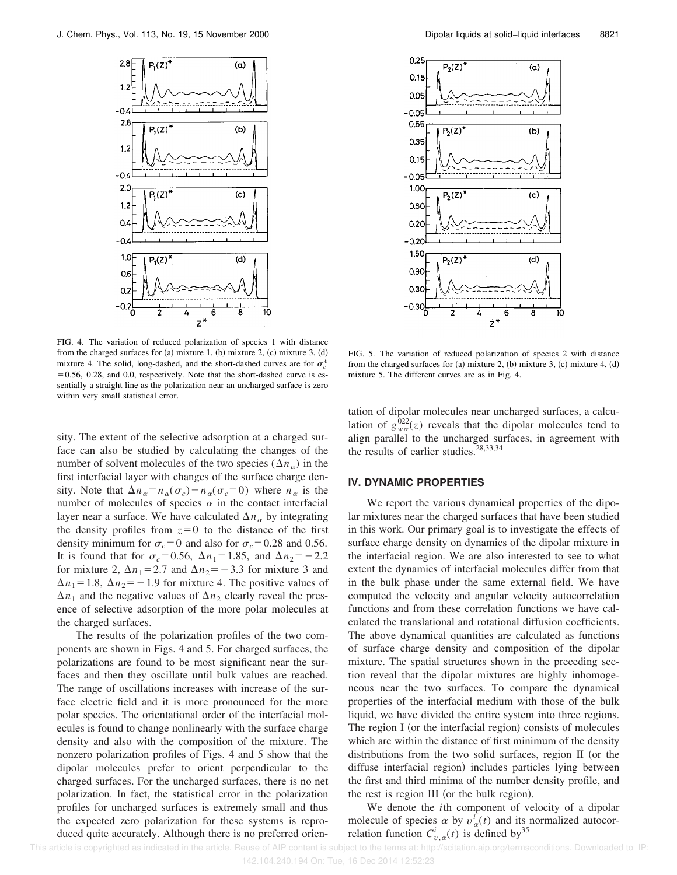

FIG. 4. The variation of reduced polarization of species 1 with distance from the charged surfaces for  $(a)$  mixture 1,  $(b)$  mixture 2,  $(c)$  mixture 3,  $(d)$ mixture 4. The solid, long-dashed, and the short-dashed curves are for  $\sigma_c^*$  $=0.56$ , 0.28, and 0.0, respectively. Note that the short-dashed curve is essentially a straight line as the polarization near an uncharged surface is zero within very small statistical error.

sity. The extent of the selective adsorption at a charged surface can also be studied by calculating the changes of the number of solvent molecules of the two species  $(\Delta n_a)$  in the first interfacial layer with changes of the surface charge density. Note that  $\Delta n_{\alpha} = n_{\alpha}(\sigma_c) - n_{\alpha}(\sigma_c = 0)$  where  $n_{\alpha}$  is the number of molecules of species  $\alpha$  in the contact interfacial layer near a surface. We have calculated  $\Delta n_a$  by integrating the density profiles from  $z=0$  to the distance of the first density minimum for  $\sigma_c = 0$  and also for  $\sigma_c = 0.28$  and 0.56. It is found that for  $\sigma_c$ =0.56,  $\Delta n_1$ =1.85, and  $\Delta n_2$ = -2.2 for mixture 2,  $\Delta n_1 = 2.7$  and  $\Delta n_2 = -3.3$  for mixture 3 and  $\Delta n_1 = 1.8$ ,  $\Delta n_2 = -1.9$  for mixture 4. The positive values of  $\Delta n_1$  and the negative values of  $\Delta n_2$  clearly reveal the presence of selective adsorption of the more polar molecules at the charged surfaces.

The results of the polarization profiles of the two components are shown in Figs. 4 and 5. For charged surfaces, the polarizations are found to be most significant near the surfaces and then they oscillate until bulk values are reached. The range of oscillations increases with increase of the surface electric field and it is more pronounced for the more polar species. The orientational order of the interfacial molecules is found to change nonlinearly with the surface charge density and also with the composition of the mixture. The nonzero polarization profiles of Figs. 4 and 5 show that the dipolar molecules prefer to orient perpendicular to the charged surfaces. For the uncharged surfaces, there is no net polarization. In fact, the statistical error in the polarization profiles for uncharged surfaces is extremely small and thus the expected zero polarization for these systems is reproduced quite accurately. Although there is no preferred orien-



FIG. 5. The variation of reduced polarization of species 2 with distance from the charged surfaces for  $(a)$  mixture 2,  $(b)$  mixture 3,  $(c)$  mixture 4,  $(d)$ mixture 5. The different curves are as in Fig. 4.

tation of dipolar molecules near uncharged surfaces, a calculation of  $g_{w\alpha}^{022}(z)$  reveals that the dipolar molecules tend to align parallel to the uncharged surfaces, in agreement with the results of earlier studies. $28,33,34$ 

## **IV. DYNAMIC PROPERTIES**

We report the various dynamical properties of the dipolar mixtures near the charged surfaces that have been studied in this work. Our primary goal is to investigate the effects of surface charge density on dynamics of the dipolar mixture in the interfacial region. We are also interested to see to what extent the dynamics of interfacial molecules differ from that in the bulk phase under the same external field. We have computed the velocity and angular velocity autocorrelation functions and from these correlation functions we have calculated the translational and rotational diffusion coefficients. The above dynamical quantities are calculated as functions of surface charge density and composition of the dipolar mixture. The spatial structures shown in the preceding section reveal that the dipolar mixtures are highly inhomogeneous near the two surfaces. To compare the dynamical properties of the interfacial medium with those of the bulk liquid, we have divided the entire system into three regions. The region I (or the interfacial region) consists of molecules which are within the distance of first minimum of the density distributions from the two solid surfaces, region  $II$  (or the diffuse interfacial region) includes particles lying between the first and third minima of the number density profile, and the rest is region III (or the bulk region).

We denote the *i*th component of velocity of a dipolar molecule of species  $\alpha$  by  $v_{\alpha}^{i}(t)$  and its normalized autocorrelation function  $C_{v,\alpha}^i(t)$  is defined by<sup>35</sup>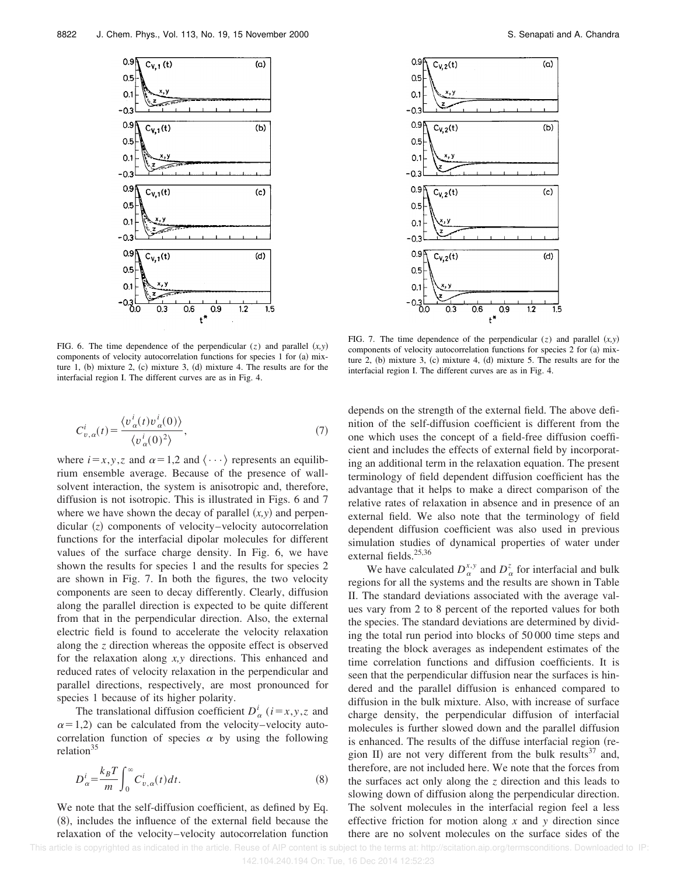

FIG. 6. The time dependence of the perpendicular  $(z)$  and parallel  $(x,y)$ components of velocity autocorrelation functions for species 1 for (a) mixture 1, (b) mixture 2, (c) mixture 3, (d) mixture 4. The results are for the interfacial region I. The different curves are as in Fig. 4.

$$
C_{v,\alpha}^{i}(t) = \frac{\langle v_{\alpha}^{i}(t)v_{\alpha}^{i}(0)\rangle}{\langle v_{\alpha}^{i}(0)^{2}\rangle},
$$
\n(7)

where  $i=x, y, z$  and  $\alpha=1,2$  and  $\langle \cdots \rangle$  represents an equilibrium ensemble average. Because of the presence of wallsolvent interaction, the system is anisotropic and, therefore, diffusion is not isotropic. This is illustrated in Figs. 6 and 7 where we have shown the decay of parallel  $(x, y)$  and perpendicular (z) components of velocity–velocity autocorrelation functions for the interfacial dipolar molecules for different values of the surface charge density. In Fig. 6, we have shown the results for species 1 and the results for species 2 are shown in Fig. 7. In both the figures, the two velocity components are seen to decay differently. Clearly, diffusion along the parallel direction is expected to be quite different from that in the perpendicular direction. Also, the external electric field is found to accelerate the velocity relaxation along the *z* direction whereas the opposite effect is observed for the relaxation along *x,y* directions. This enhanced and reduced rates of velocity relaxation in the perpendicular and parallel directions, respectively, are most pronounced for species 1 because of its higher polarity.

The translational diffusion coefficient  $D^i_\alpha$  (*i* = *x*,*y*,*z* and  $\alpha$ =1,2) can be calculated from the velocity–velocity autocorrelation function of species  $\alpha$  by using the following relation $35$ 

$$
D_{\alpha}^{i} = \frac{k_B T}{m} \int_0^{\infty} C_{\nu,\alpha}^{i}(t) dt.
$$
 (8)

We note that the self-diffusion coefficient, as defined by Eq.  $(8)$ , includes the influence of the external field because the relaxation of the velocity–velocity autocorrelation function



FIG. 7. The time dependence of the perpendicular  $(z)$  and parallel  $(x,y)$ components of velocity autocorrelation functions for species  $2$  for  $(a)$  mixture 2,  $(b)$  mixture 3,  $(c)$  mixture 4,  $(d)$  mixture 5. The results are for the interfacial region I. The different curves are as in Fig. 4.

depends on the strength of the external field. The above definition of the self-diffusion coefficient is different from the one which uses the concept of a field-free diffusion coefficient and includes the effects of external field by incorporating an additional term in the relaxation equation. The present terminology of field dependent diffusion coefficient has the advantage that it helps to make a direct comparison of the relative rates of relaxation in absence and in presence of an external field. We also note that the terminology of field dependent diffusion coefficient was also used in previous simulation studies of dynamical properties of water under external fields.<sup>25,36</sup>

We have calculated  $D_{\alpha}^{x,y}$  and  $D_{\alpha}^{z}$  for interfacial and bulk regions for all the systems and the results are shown in Table II. The standard deviations associated with the average values vary from 2 to 8 percent of the reported values for both the species. The standard deviations are determined by dividing the total run period into blocks of 50 000 time steps and treating the block averages as independent estimates of the time correlation functions and diffusion coefficients. It is seen that the perpendicular diffusion near the surfaces is hindered and the parallel diffusion is enhanced compared to diffusion in the bulk mixture. Also, with increase of surface charge density, the perpendicular diffusion of interfacial molecules is further slowed down and the parallel diffusion is enhanced. The results of the diffuse interfacial region (region II) are not very different from the bulk results<sup>37</sup> and, therefore, are not included here. We note that the forces from the surfaces act only along the *z* direction and this leads to slowing down of diffusion along the perpendicular direction. The solvent molecules in the interfacial region feel a less effective friction for motion along *x* and *y* direction since there are no solvent molecules on the surface sides of the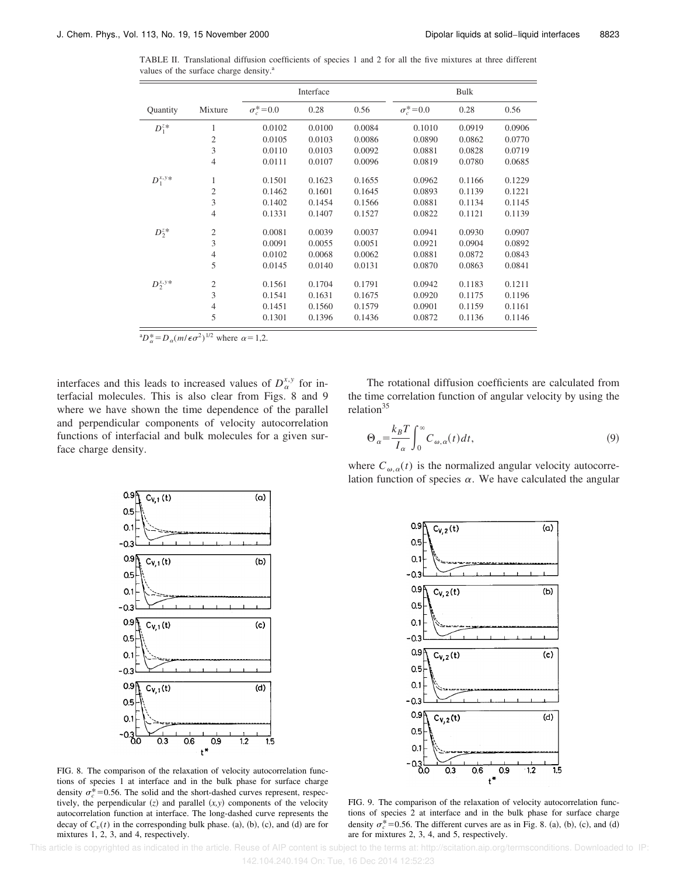TABLE II. Translational diffusion coefficients of species 1 and 2 for all the five mixtures at three different values of the surface charge density.<sup>a</sup>

|              |                | Interface          |        |        | Bulk               |        |        |
|--------------|----------------|--------------------|--------|--------|--------------------|--------|--------|
| Quantity     | Mixture        | $\sigma_c^* = 0.0$ | 0.28   | 0.56   | $\sigma_c^* = 0.0$ | 0.28   | 0.56   |
| $D_1^{z*}$   | 1              | 0.0102             | 0.0100 | 0.0084 | 0.1010             | 0.0919 | 0.0906 |
|              | 2              | 0.0105             | 0.0103 | 0.0086 | 0.0890             | 0.0862 | 0.0770 |
|              | 3              | 0.0110             | 0.0103 | 0.0092 | 0.0881             | 0.0828 | 0.0719 |
|              | $\overline{4}$ | 0.0111             | 0.0107 | 0.0096 | 0.0819             | 0.0780 | 0.0685 |
| $D_1^{x,y*}$ | 1              | 0.1501             | 0.1623 | 0.1655 | 0.0962             | 0.1166 | 0.1229 |
|              | 2              | 0.1462             | 0.1601 | 0.1645 | 0.0893             | 0.1139 | 0.1221 |
|              | 3              | 0.1402             | 0.1454 | 0.1566 | 0.0881             | 0.1134 | 0.1145 |
|              | $\overline{4}$ | 0.1331             | 0.1407 | 0.1527 | 0.0822             | 0.1121 | 0.1139 |
| $D_2^{z*}$   | $\mathfrak{2}$ | 0.0081             | 0.0039 | 0.0037 | 0.0941             | 0.0930 | 0.0907 |
|              | 3              | 0.0091             | 0.0055 | 0.0051 | 0.0921             | 0.0904 | 0.0892 |
|              | $\overline{4}$ | 0.0102             | 0.0068 | 0.0062 | 0.0881             | 0.0872 | 0.0843 |
|              | 5              | 0.0145             | 0.0140 | 0.0131 | 0.0870             | 0.0863 | 0.0841 |
| $D_2^{x,y*}$ | $\overline{2}$ | 0.1561             | 0.1704 | 0.1791 | 0.0942             | 0.1183 | 0.1211 |
|              | 3              | 0.1541             | 0.1631 | 0.1675 | 0.0920             | 0.1175 | 0.1196 |
|              | 4              | 0.1451             | 0.1560 | 0.1579 | 0.0901             | 0.1159 | 0.1161 |
|              | 5              | 0.1301             | 0.1396 | 0.1436 | 0.0872             | 0.1136 | 0.1146 |

 ${}^{\text{a}}D_{\alpha}^{*}=D_{\alpha}(m/\epsilon\sigma^{2})^{1/2}$  where  $\alpha=1,2$ .

interfaces and this leads to increased values of  $D_{\alpha}^{x,y}$  for interfacial molecules. This is also clear from Figs. 8 and 9 where we have shown the time dependence of the parallel and perpendicular components of velocity autocorrelation functions of interfacial and bulk molecules for a given surface charge density.



$$
\Theta_{\alpha} = \frac{k_B T}{I_{\alpha}} \int_0^{\infty} C_{\omega, \alpha}(t) dt,
$$
\n(9)

where  $C_{\omega,\alpha}(t)$  is the normalized angular velocity autocorrelation function of species  $\alpha$ . We have calculated the angular



FIG. 8. The comparison of the relaxation of velocity autocorrelation functions of species 1 at interface and in the bulk phase for surface charge density  $\sigma_c^*$  = 0.56. The solid and the short-dashed curves represent, respectively, the perpendicular  $(z)$  and parallel  $(x, y)$  components of the velocity autocorrelation function at interface. The long-dashed curve represents the decay of  $C_v(t)$  in the corresponding bulk phase. (a), (b), (c), and (d) are for mixtures 1, 2, 3, and 4, respectively.



FIG. 9. The comparison of the relaxation of velocity autocorrelation functions of species 2 at interface and in the bulk phase for surface charge density  $\sigma_c^*$  = 0.56. The different curves are as in Fig. 8. (a), (b), (c), and (d) are for mixtures 2, 3, 4, and 5, respectively.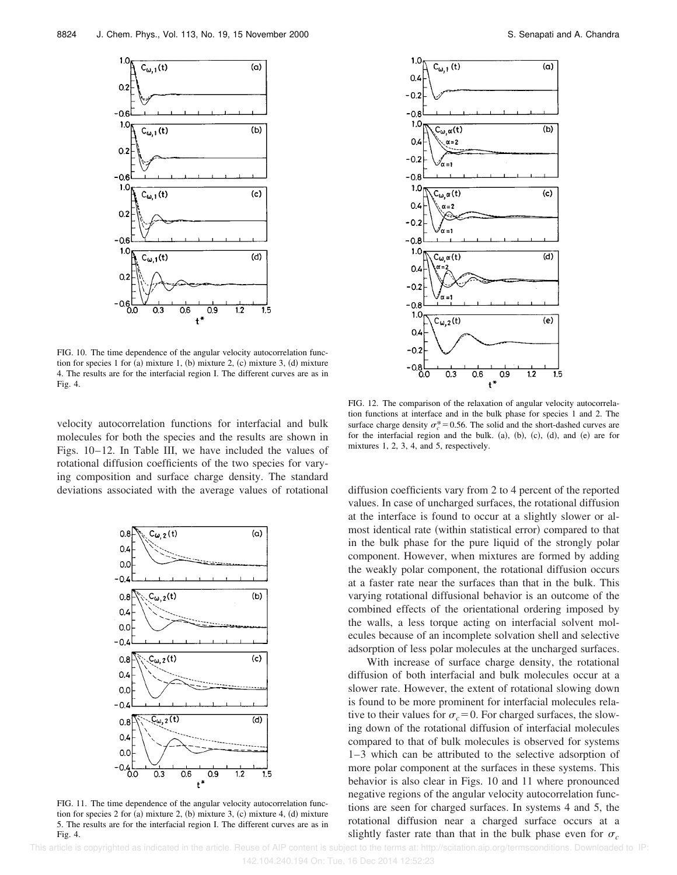

FIG. 10. The time dependence of the angular velocity autocorrelation function for species 1 for  $(a)$  mixture 1,  $(b)$  mixture 2,  $(c)$  mixture 3,  $(d)$  mixture 4. The results are for the interfacial region I. The different curves are as in Fig. 4.

velocity autocorrelation functions for interfacial and bulk molecules for both the species and the results are shown in Figs. 10–12. In Table III, we have included the values of rotational diffusion coefficients of the two species for varying composition and surface charge density. The standard deviations associated with the average values of rotational diffusion coefficients vary from 2 to 4 percent of the reported



FIG. 11. The time dependence of the angular velocity autocorrelation function for species 2 for  $(a)$  mixture 2,  $(b)$  mixture 3,  $(c)$  mixture 4,  $(d)$  mixture 5. The results are for the interfacial region I. The different curves are as in Fig. 4.



FIG. 12. The comparison of the relaxation of angular velocity autocorrelation functions at interface and in the bulk phase for species 1 and 2. The surface charge density  $\sigma_c^* = 0.56$ . The solid and the short-dashed curves are for the interfacial region and the bulk.  $(a)$ ,  $(b)$ ,  $(c)$ ,  $(d)$ , and  $(e)$  are for mixtures 1, 2, 3, 4, and 5, respectively.

values. In case of uncharged surfaces, the rotational diffusion at the interface is found to occur at a slightly slower or almost identical rate (within statistical error) compared to that in the bulk phase for the pure liquid of the strongly polar component. However, when mixtures are formed by adding the weakly polar component, the rotational diffusion occurs at a faster rate near the surfaces than that in the bulk. This varying rotational diffusional behavior is an outcome of the combined effects of the orientational ordering imposed by the walls, a less torque acting on interfacial solvent molecules because of an incomplete solvation shell and selective adsorption of less polar molecules at the uncharged surfaces.

With increase of surface charge density, the rotational diffusion of both interfacial and bulk molecules occur at a slower rate. However, the extent of rotational slowing down is found to be more prominent for interfacial molecules relative to their values for  $\sigma_c = 0$ . For charged surfaces, the slowing down of the rotational diffusion of interfacial molecules compared to that of bulk molecules is observed for systems 1–3 which can be attributed to the selective adsorption of more polar component at the surfaces in these systems. This behavior is also clear in Figs. 10 and 11 where pronounced negative regions of the angular velocity autocorrelation functions are seen for charged surfaces. In systems 4 and 5, the rotational diffusion near a charged surface occurs at a slightly faster rate than that in the bulk phase even for  $\sigma_c$ 

This article is copyrighted as indicated in the article. Reuse of AIP content is subject to the terms at: http://scitation.aip.org/termsconditions. Downloaded to IP: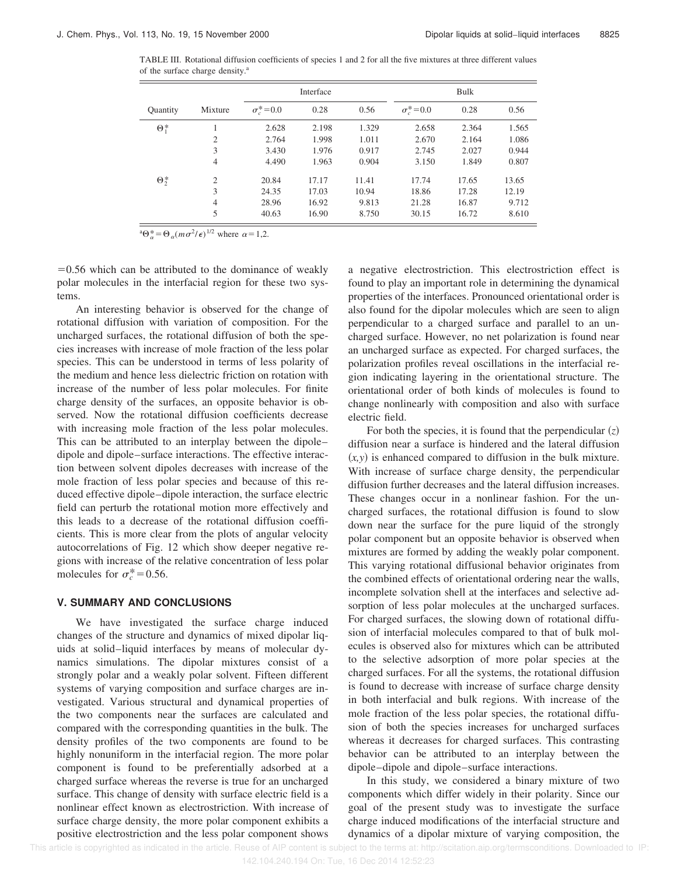TABLE III. Rotational diffusion coefficients of species 1 and 2 for all the five mixtures at three different values of the surface charge density.<sup>a</sup>

|              |                | Interface          |       |       | Bulk               |       |       |
|--------------|----------------|--------------------|-------|-------|--------------------|-------|-------|
| Quantity     | Mixture        | $\sigma_c^* = 0.0$ | 0.28  | 0.56  | $\sigma_c^* = 0.0$ | 0.28  | 0.56  |
| $\Theta_1^*$ |                | 2.628              | 2.198 | 1.329 | 2.658              | 2.364 | 1.565 |
|              | 2              | 2.764              | 1.998 | 1.011 | 2.670              | 2.164 | 1.086 |
|              | 3              | 3.430              | 1.976 | 0.917 | 2.745              | 2.027 | 0.944 |
|              | $\overline{4}$ | 4.490              | 1.963 | 0.904 | 3.150              | 1.849 | 0.807 |
| $\Theta_2^*$ | 2              | 20.84              | 17.17 | 11.41 | 17.74              | 17.65 | 13.65 |
|              | 3              | 24.35              | 17.03 | 10.94 | 18.86              | 17.28 | 12.19 |
|              | $\overline{4}$ | 28.96              | 16.92 | 9.813 | 21.28              | 16.87 | 9.712 |
|              | 5              | 40.63              | 16.90 | 8.750 | 30.15              | 16.72 | 8.610 |

 $^{\circ}$ <sup>a</sup> $\Theta_{\alpha}^* = \Theta_{\alpha} (m \sigma^2 / \epsilon)^{1/2}$  where  $\alpha = 1,2$ .

 $=0.56$  which can be attributed to the dominance of weakly polar molecules in the interfacial region for these two systems.

An interesting behavior is observed for the change of rotational diffusion with variation of composition. For the uncharged surfaces, the rotational diffusion of both the species increases with increase of mole fraction of the less polar species. This can be understood in terms of less polarity of the medium and hence less dielectric friction on rotation with increase of the number of less polar molecules. For finite charge density of the surfaces, an opposite behavior is observed. Now the rotational diffusion coefficients decrease with increasing mole fraction of the less polar molecules. This can be attributed to an interplay between the dipole– dipole and dipole–surface interactions. The effective interaction between solvent dipoles decreases with increase of the mole fraction of less polar species and because of this reduced effective dipole–dipole interaction, the surface electric field can perturb the rotational motion more effectively and this leads to a decrease of the rotational diffusion coefficients. This is more clear from the plots of angular velocity autocorrelations of Fig. 12 which show deeper negative regions with increase of the relative concentration of less polar molecules for  $\sigma_c^* = 0.56$ .

## **V. SUMMARY AND CONCLUSIONS**

We have investigated the surface charge induced changes of the structure and dynamics of mixed dipolar liquids at solid–liquid interfaces by means of molecular dynamics simulations. The dipolar mixtures consist of a strongly polar and a weakly polar solvent. Fifteen different systems of varying composition and surface charges are investigated. Various structural and dynamical properties of the two components near the surfaces are calculated and compared with the corresponding quantities in the bulk. The density profiles of the two components are found to be highly nonuniform in the interfacial region. The more polar component is found to be preferentially adsorbed at a charged surface whereas the reverse is true for an uncharged surface. This change of density with surface electric field is a nonlinear effect known as electrostriction. With increase of surface charge density, the more polar component exhibits a positive electrostriction and the less polar component shows a negative electrostriction. This electrostriction effect is found to play an important role in determining the dynamical properties of the interfaces. Pronounced orientational order is also found for the dipolar molecules which are seen to align perpendicular to a charged surface and parallel to an uncharged surface. However, no net polarization is found near an uncharged surface as expected. For charged surfaces, the polarization profiles reveal oscillations in the interfacial region indicating layering in the orientational structure. The orientational order of both kinds of molecules is found to change nonlinearly with composition and also with surface electric field.

For both the species, it is found that the perpendicular  $(z)$ diffusion near a surface is hindered and the lateral diffusion  $(x, y)$  is enhanced compared to diffusion in the bulk mixture. With increase of surface charge density, the perpendicular diffusion further decreases and the lateral diffusion increases. These changes occur in a nonlinear fashion. For the uncharged surfaces, the rotational diffusion is found to slow down near the surface for the pure liquid of the strongly polar component but an opposite behavior is observed when mixtures are formed by adding the weakly polar component. This varying rotational diffusional behavior originates from the combined effects of orientational ordering near the walls, incomplete solvation shell at the interfaces and selective adsorption of less polar molecules at the uncharged surfaces. For charged surfaces, the slowing down of rotational diffusion of interfacial molecules compared to that of bulk molecules is observed also for mixtures which can be attributed to the selective adsorption of more polar species at the charged surfaces. For all the systems, the rotational diffusion is found to decrease with increase of surface charge density in both interfacial and bulk regions. With increase of the mole fraction of the less polar species, the rotational diffusion of both the species increases for uncharged surfaces whereas it decreases for charged surfaces. This contrasting behavior can be attributed to an interplay between the dipole–dipole and dipole–surface interactions.

In this study, we considered a binary mixture of two components which differ widely in their polarity. Since our goal of the present study was to investigate the surface charge induced modifications of the interfacial structure and dynamics of a dipolar mixture of varying composition, the